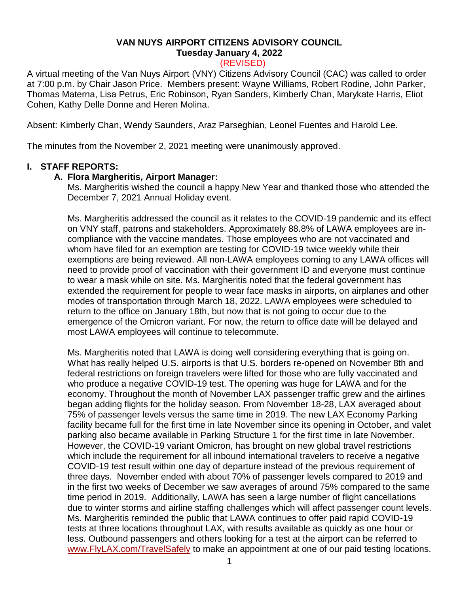### **VAN NUYS AIRPORT CITIZENS ADVISORY COUNCIL Tuesday January 4, 2022**

# (REVISED)

A virtual meeting of the Van Nuys Airport (VNY) Citizens Advisory Council (CAC) was called to order at 7:00 p.m. by Chair Jason Price. Members present: Wayne Williams, Robert Rodine, John Parker, Thomas Materna, Lisa Petrus, Eric Robinson, Ryan Sanders, Kimberly Chan, Marykate Harris, Eliot Cohen, Kathy Delle Donne and Heren Molina.

Absent: Kimberly Chan, Wendy Saunders, Araz Parseghian, Leonel Fuentes and Harold Lee.

The minutes from the November 2, 2021 meeting were unanimously approved.

### **I. STAFF REPORTS:**

### **A. Flora Margheritis, Airport Manager:**

Ms. Margheritis wished the council a happy New Year and thanked those who attended the December 7, 2021 Annual Holiday event.

Ms. Margheritis addressed the council as it relates to the COVID-19 pandemic and its effect on VNY staff, patrons and stakeholders. Approximately 88.8% of LAWA employees are incompliance with the vaccine mandates. Those employees who are not vaccinated and whom have filed for an exemption are testing for COVID-19 twice weekly while their exemptions are being reviewed. All non-LAWA employees coming to any LAWA offices will need to provide proof of vaccination with their government ID and everyone must continue to wear a mask while on site. Ms. Margheritis noted that the federal government has extended the requirement for people to wear face masks in airports, on airplanes and other modes of transportation through March 18, 2022. LAWA employees were scheduled to return to the office on January 18th, but now that is not going to occur due to the emergence of the Omicron variant. For now, the return to office date will be delayed and most LAWA employees will continue to telecommute.

Ms. Margheritis noted that LAWA is doing well considering everything that is going on. What has really helped U.S. airports is that U.S. borders re-opened on November 8th and federal restrictions on foreign travelers were lifted for those who are fully vaccinated and who produce a negative COVID-19 test. The opening was huge for LAWA and for the economy. Throughout the month of November LAX passenger traffic grew and the airlines began adding flights for the holiday season. From November 18-28, LAX averaged about 75% of passenger levels versus the same time in 2019. The new LAX Economy Parking facility became full for the first time in late November since its opening in October, and valet parking also became available in Parking Structure 1 for the first time in late November. However, the COVID-19 variant Omicron, has brought on new global travel restrictions which include the requirement for all inbound international travelers to receive a negative COVID-19 test result within one day of departure instead of the previous requirement of three days. November ended with about 70% of passenger levels compared to 2019 and in the first two weeks of December we saw averages of around 75% compared to the same time period in 2019. Additionally, LAWA has seen a large number of flight cancellations due to winter storms and airline staffing challenges which will affect passenger count levels. Ms. Margheritis reminded the public that LAWA continues to offer paid rapid COVID-19 tests at three locations throughout LAX, with results available as quickly as one hour or less. Outbound passengers and others looking for a test at the airport can be referred to [www.FlyLAX.com/TravelSafely](http://www.flylax.com/TravelSafely) to make an appointment at one of our paid testing locations.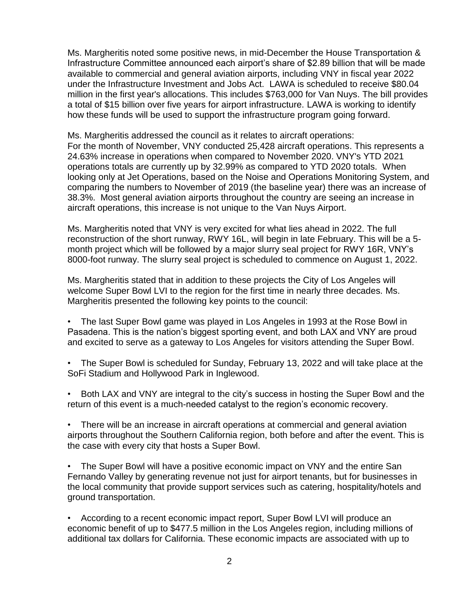Ms. Margheritis noted some positive news, in mid-December the House Transportation & Infrastructure Committee announced each airport's share of \$2.89 billion that will be made available to commercial and general aviation airports, including VNY in fiscal year 2022 under the Infrastructure Investment and Jobs Act. LAWA is scheduled to receive \$80.04 million in the first year's allocations. This includes \$763,000 for Van Nuys. The bill provides a total of \$15 billion over five years for airport infrastructure. LAWA is working to identify how these funds will be used to support the infrastructure program going forward.

Ms. Margheritis addressed the council as it relates to aircraft operations: For the month of November, VNY conducted 25,428 aircraft operations. This represents a 24.63% increase in operations when compared to November 2020. VNY's YTD 2021 operations totals are currently up by 32.99% as compared to YTD 2020 totals. When looking only at Jet Operations, based on the Noise and Operations Monitoring System, and comparing the numbers to November of 2019 (the baseline year) there was an increase of 38.3%. Most general aviation airports throughout the country are seeing an increase in aircraft operations, this increase is not unique to the Van Nuys Airport.

Ms. Margheritis noted that VNY is very excited for what lies ahead in 2022. The full reconstruction of the short runway, RWY 16L, will begin in late February. This will be a 5 month project which will be followed by a major slurry seal project for RWY 16R, VNY's 8000-foot runway. The slurry seal project is scheduled to commence on August 1, 2022.

Ms. Margheritis stated that in addition to these projects the City of Los Angeles will welcome Super Bowl LVI to the region for the first time in nearly three decades. Ms. Margheritis presented the following key points to the council:

• The last Super Bowl game was played in Los Angeles in 1993 at the Rose Bowl in Pasadena. This is the nation's biggest sporting event, and both LAX and VNY are proud and excited to serve as a gateway to Los Angeles for visitors attending the Super Bowl.

• The Super Bowl is scheduled for Sunday, February 13, 2022 and will take place at the SoFi Stadium and Hollywood Park in Inglewood.

• Both LAX and VNY are integral to the city's success in hosting the Super Bowl and the return of this event is a much-needed catalyst to the region's economic recovery.

• There will be an increase in aircraft operations at commercial and general aviation airports throughout the Southern California region, both before and after the event. This is the case with every city that hosts a Super Bowl.

• The Super Bowl will have a positive economic impact on VNY and the entire San Fernando Valley by generating revenue not just for airport tenants, but for businesses in the local community that provide support services such as catering, hospitality/hotels and ground transportation.

• According to a recent economic impact report, Super Bowl LVI will produce an economic benefit of up to \$477.5 million in the Los Angeles region, including millions of additional tax dollars for California. These economic impacts are associated with up to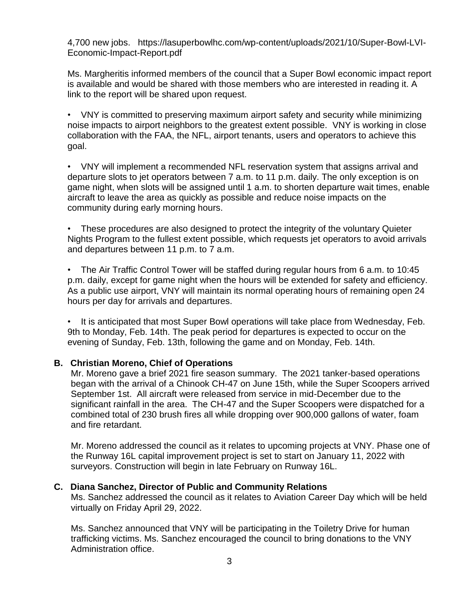4,700 new jobs. https://lasuperbowlhc.com/wp-content/uploads/2021/10/Super-Bowl-LVI-Economic-Impact-Report.pdf

Ms. Margheritis informed members of the council that a Super Bowl economic impact report is available and would be shared with those members who are interested in reading it. A link to the report will be shared upon request.

• VNY is committed to preserving maximum airport safety and security while minimizing noise impacts to airport neighbors to the greatest extent possible. VNY is working in close collaboration with the FAA, the NFL, airport tenants, users and operators to achieve this goal.

• VNY will implement a recommended NFL reservation system that assigns arrival and departure slots to jet operators between 7 a.m. to 11 p.m. daily. The only exception is on game night, when slots will be assigned until 1 a.m. to shorten departure wait times, enable aircraft to leave the area as quickly as possible and reduce noise impacts on the community during early morning hours.

• These procedures are also designed to protect the integrity of the voluntary Quieter Nights Program to the fullest extent possible, which requests jet operators to avoid arrivals and departures between 11 p.m. to 7 a.m.

• The Air Traffic Control Tower will be staffed during regular hours from 6 a.m. to 10:45 p.m. daily, except for game night when the hours will be extended for safety and efficiency. As a public use airport, VNY will maintain its normal operating hours of remaining open 24 hours per day for arrivals and departures.

• It is anticipated that most Super Bowl operations will take place from Wednesday, Feb. 9th to Monday, Feb. 14th. The peak period for departures is expected to occur on the evening of Sunday, Feb. 13th, following the game and on Monday, Feb. 14th.

# **B. Christian Moreno, Chief of Operations**

Mr. Moreno gave a brief 2021 fire season summary. The 2021 tanker-based operations began with the arrival of a Chinook CH-47 on June 15th, while the Super Scoopers arrived September 1st. All aircraft were released from service in mid-December due to the significant rainfall in the area. The CH-47 and the Super Scoopers were dispatched for a combined total of 230 brush fires all while dropping over 900,000 gallons of water, foam and fire retardant.

Mr. Moreno addressed the council as it relates to upcoming projects at VNY. Phase one of the Runway 16L capital improvement project is set to start on January 11, 2022 with surveyors. Construction will begin in late February on Runway 16L.

# **C. Diana Sanchez, Director of Public and Community Relations**

Ms. Sanchez addressed the council as it relates to Aviation Career Day which will be held virtually on Friday April 29, 2022.

Ms. Sanchez announced that VNY will be participating in the Toiletry Drive for human trafficking victims. Ms. Sanchez encouraged the council to bring donations to the VNY Administration office.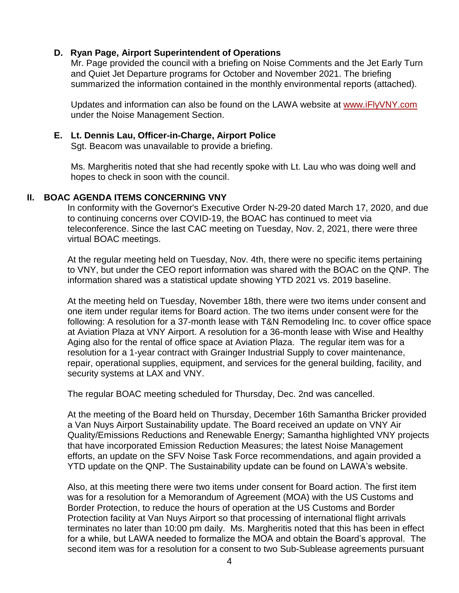#### **D. Ryan Page, Airport Superintendent of Operations**

Mr. Page provided the council with a briefing on Noise Comments and the Jet Early Turn and Quiet Jet Departure programs for October and November 2021. The briefing summarized the information contained in the monthly environmental reports (attached).

Updates and information can also be found on the LAWA website at [www.iFlyVNY.com](http://www.iflyvny.com/) under the Noise Management Section.

### **E. Lt. Dennis Lau, Officer-in-Charge, Airport Police**

Sgt. Beacom was unavailable to provide a briefing.

Ms. Margheritis noted that she had recently spoke with Lt. Lau who was doing well and hopes to check in soon with the council.

### **II. BOAC AGENDA ITEMS CONCERNING VNY**

In conformity with the Governor's Executive Order N-29-20 dated March 17, 2020, and due to continuing concerns over COVID-19, the BOAC has continued to meet via teleconference. Since the last CAC meeting on Tuesday, Nov. 2, 2021, there were three virtual BOAC meetings.

At the regular meeting held on Tuesday, Nov. 4th, there were no specific items pertaining to VNY, but under the CEO report information was shared with the BOAC on the QNP. The information shared was a statistical update showing YTD 2021 vs. 2019 baseline.

At the meeting held on Tuesday, November 18th, there were two items under consent and one item under regular items for Board action. The two items under consent were for the following: A resolution for a 37-month lease with T&N Remodeling Inc. to cover office space at Aviation Plaza at VNY Airport. A resolution for a 36-month lease with Wise and Healthy Aging also for the rental of office space at Aviation Plaza. The regular item was for a resolution for a 1-year contract with Grainger Industrial Supply to cover maintenance, repair, operational supplies, equipment, and services for the general building, facility, and security systems at LAX and VNY.

The regular BOAC meeting scheduled for Thursday, Dec. 2nd was cancelled.

At the meeting of the Board held on Thursday, December 16th Samantha Bricker provided a Van Nuys Airport Sustainability update. The Board received an update on VNY Air Quality/Emissions Reductions and Renewable Energy; Samantha highlighted VNY projects that have incorporated Emission Reduction Measures; the latest Noise Management efforts, an update on the SFV Noise Task Force recommendations, and again provided a YTD update on the QNP. The Sustainability update can be found on LAWA's website.

Also, at this meeting there were two items under consent for Board action. The first item was for a resolution for a Memorandum of Agreement (MOA) with the US Customs and Border Protection, to reduce the hours of operation at the US Customs and Border Protection facility at Van Nuys Airport so that processing of international flight arrivals terminates no later than 10:00 pm daily. Ms. Margheritis noted that this has been in effect for a while, but LAWA needed to formalize the MOA and obtain the Board's approval. The second item was for a resolution for a consent to two Sub-Sublease agreements pursuant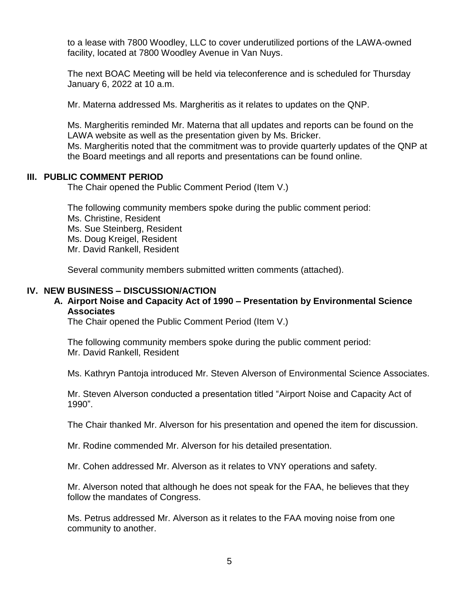to a lease with 7800 Woodley, LLC to cover underutilized portions of the LAWA-owned facility, located at 7800 Woodley Avenue in Van Nuys.

The next BOAC Meeting will be held via teleconference and is scheduled for Thursday January 6, 2022 at 10 a.m.

Mr. Materna addressed Ms. Margheritis as it relates to updates on the QNP.

Ms. Margheritis reminded Mr. Materna that all updates and reports can be found on the LAWA website as well as the presentation given by Ms. Bricker. Ms. Margheritis noted that the commitment was to provide quarterly updates of the QNP at the Board meetings and all reports and presentations can be found online.

#### **III. PUBLIC COMMENT PERIOD**

The Chair opened the Public Comment Period (Item V.)

The following community members spoke during the public comment period: Ms. Christine, Resident Ms. Sue Steinberg, Resident Ms. Doug Kreigel, Resident Mr. David Rankell, Resident

Several community members submitted written comments (attached).

### **IV. NEW BUSINESS – DISCUSSION/ACTION**

### **A. Airport Noise and Capacity Act of 1990 – Presentation by Environmental Science Associates**

The Chair opened the Public Comment Period (Item V.)

The following community members spoke during the public comment period: Mr. David Rankell, Resident

Ms. Kathryn Pantoja introduced Mr. Steven Alverson of Environmental Science Associates.

Mr. Steven Alverson conducted a presentation titled "Airport Noise and Capacity Act of 1990".

The Chair thanked Mr. Alverson for his presentation and opened the item for discussion.

Mr. Rodine commended Mr. Alverson for his detailed presentation.

Mr. Cohen addressed Mr. Alverson as it relates to VNY operations and safety.

Mr. Alverson noted that although he does not speak for the FAA, he believes that they follow the mandates of Congress.

Ms. Petrus addressed Mr. Alverson as it relates to the FAA moving noise from one community to another.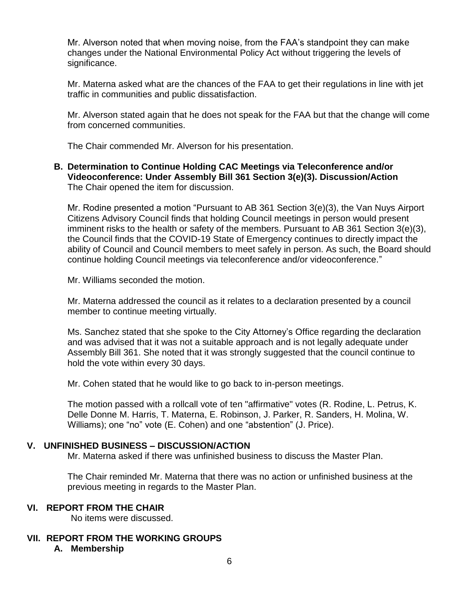Mr. Alverson noted that when moving noise, from the FAA's standpoint they can make changes under the National Environmental Policy Act without triggering the levels of significance.

Mr. Materna asked what are the chances of the FAA to get their regulations in line with jet traffic in communities and public dissatisfaction.

Mr. Alverson stated again that he does not speak for the FAA but that the change will come from concerned communities.

The Chair commended Mr. Alverson for his presentation.

### **B. Determination to Continue Holding CAC Meetings via Teleconference and/or Videoconference: Under Assembly Bill 361 Section 3(e)(3). Discussion/Action** The Chair opened the item for discussion.

Mr. Rodine presented a motion "Pursuant to AB 361 Section 3(e)(3), the Van Nuys Airport Citizens Advisory Council finds that holding Council meetings in person would present imminent risks to the health or safety of the members. Pursuant to AB 361 Section 3(e)(3), the Council finds that the COVID-19 State of Emergency continues to directly impact the ability of Council and Council members to meet safely in person. As such, the Board should continue holding Council meetings via teleconference and/or videoconference."

Mr. Williams seconded the motion.

Mr. Materna addressed the council as it relates to a declaration presented by a council member to continue meeting virtually.

Ms. Sanchez stated that she spoke to the City Attorney's Office regarding the declaration and was advised that it was not a suitable approach and is not legally adequate under Assembly Bill 361. She noted that it was strongly suggested that the council continue to hold the vote within every 30 days.

Mr. Cohen stated that he would like to go back to in-person meetings.

The motion passed with a rollcall vote of ten "affirmative" votes (R. Rodine, L. Petrus, K. Delle Donne M. Harris, T. Materna, E. Robinson, J. Parker, R. Sanders, H. Molina, W. Williams); one "no" vote (E. Cohen) and one "abstention" (J. Price).

# **V. UNFINISHED BUSINESS – DISCUSSION/ACTION**

Mr. Materna asked if there was unfinished business to discuss the Master Plan.

The Chair reminded Mr. Materna that there was no action or unfinished business at the previous meeting in regards to the Master Plan.

# **VI. REPORT FROM THE CHAIR**

No items were discussed.

# **VII. REPORT FROM THE WORKING GROUPS**

# **A. Membership**